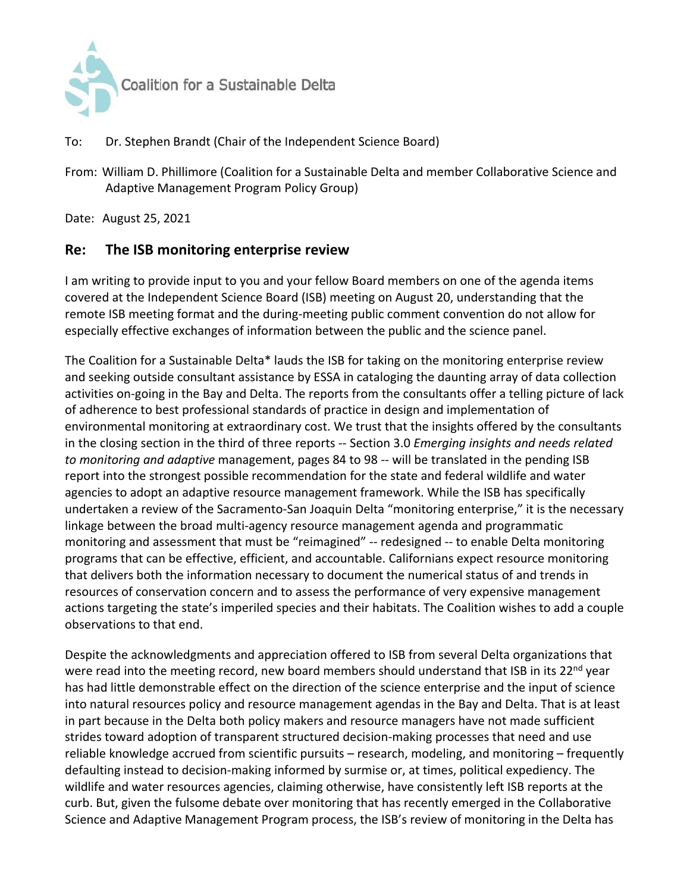

## To: Dr. Stephen Brandt (Chair of the Independent Science Board)

From: William D. Phillimore (Coalition for a Sustainable Delta and member Collaborative Science and Adaptive Management Program Policy Group)

Date: August 25, 2021

## **Re: The ISB monitoring enterprise review**

I am writing to provide input to you and your fellow Board members on one of the agenda items covered at the Independent Science Board (ISB) meeting on August 20, understanding that the remote ISB meeting format and the during-meeting public comment convention do not allow for especially effective exchanges of information between the public and the science panel.

The Coalition for a Sustainable Delta\* lauds the ISB for taking on the monitoring enterprise review and seeking outside consultant assistance by ESSA in cataloging the daunting array of data collection activities on-going in the Bay and Delta. The reports from the consultants offer a telling picture of lack of adherence to best professional standards of practice in design and implementation of environmental monitoring at extraordinary cost. We trust that the insights offered by the consultants in the closing section in the third of three reports -- Section 3.0 *Emerging insights and needs related to monitoring and adaptive* management, pages 84 to 98 -- will be translated in the pending ISB report into the strongest possible recommendation for the state and federal wildlife and water agencies to adopt an adaptive resource management framework. While the ISB has specifically undertaken a review of the Sacramento-San Joaquin Delta "monitoring enterprise," it is the necessary linkage between the broad multi-agency resource management agenda and programmatic monitoring and assessment that must be "reimagined" -- redesigned -- to enable Delta monitoring programs that can be effective, efficient, and accountable. Californians expect resource monitoring that delivers both the information necessary to document the numerical status of and trends in resources of conservation concern and to assess the performance of very expensive management actions targeting the state's imperiled species and their habitats. The Coalition wishes to add a couple observations to that end.

Despite the acknowledgments and appreciation offered to ISB from several Delta organizations that were read into the meeting record, new board members should understand that ISB in its 22<sup>nd</sup> year has had little demonstrable effect on the direction of the science enterprise and the input of science into natural resources policy and resource management agendas in the Bay and Delta. That is at least in part because in the Delta both policy makers and resource managers have not made sufficient strides toward adoption of transparent structured decision-making processes that need and use reliable knowledge accrued from scientific pursuits – research, modeling, and monitoring – frequently defaulting instead to decision-making informed by surmise or, at times, political expediency. The wildlife and water resources agencies, claiming otherwise, have consistently left ISB reports at the curb. But, given the fulsome debate over monitoring that has recently emerged in the Collaborative Science and Adaptive Management Program process, the ISB's review of monitoring in the Delta has